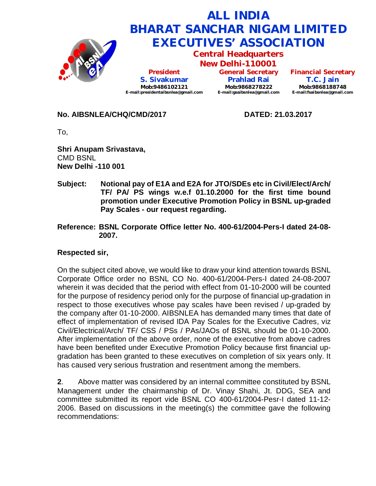

**No. AIBSNLEA/CHQ/CMD/2017 DATED: 21.03.2017**

To,

**Shri Anupam Srivastava,** CMD BSNL **New Delhi -110 001**

- **Subject: Notional pay of E1A and E2A for JTO/SDEs etc in Civil/Elect/Arch/ TF/ PA/ PS wings w.e.f 01.10.2000 for the first time bound promotion under Executive Promotion Policy in BSNL up-graded Pay Scales - our request regarding.**
- **Reference: BSNL Corporate Office letter No. 400-61/2004-Pers-I dated 24-08- 2007.**

## **Respected sir,**

On the subject cited above, we would like to draw your kind attention towards BSNL Corporate Office order no BSNL CO No. 400-61/2004-Pers-I dated 24-08-2007 wherein it was decided that the period with effect from 01-10-2000 will be counted for the purpose of residency period only for the purpose of financial up-gradation in respect to those executives whose pay scales have been revised / up-graded by the company after 01-10-2000. AIBSNLEA has demanded many times that date of effect of implementation of revised IDA Pay Scales for the Executive Cadres, viz Civil/Electrical/Arch/ TF/ CSS / PSs / PAs/JAOs of BSNL should be 01-10-2000. After implementation of the above order, none of the executive from above cadres have been benefited under Executive Promotion Policy because first financial upgradation has been granted to these executives on completion of six years only. It has caused very serious frustration and resentment among the members.

**2**. Above matter was considered by an internal committee constituted by BSNL Management under the chairmanship of Dr. Vinay Shahi, Jt. DDG, SEA and committee submitted its report vide BSNL CO 400-61/2004-Pesr-I dated 11-12- 2006. Based on discussions in the meeting(s) the committee gave the following recommendations: